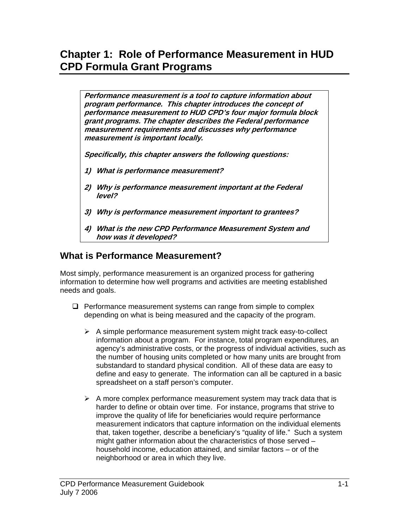# **Chapter 1: Role of Performance Measurement in HUD CPD Formula Grant Programs**

**Performance measurement is a tool to capture information about program performance. This chapter introduces the concept of performance measurement to HUD CPD's four major formula block grant programs. The chapter describes the Federal performance measurement requirements and discusses why performance measurement is important locally.** 

**Specifically, this chapter answers the following questions:** 

- **1) What is performance measurement?**
- **2) Why is performance measurement important at the Federal level?**
- **3) Why is performance measurement important to grantees?**
- **4) What is the new CPD Performance Measurement System and how was it developed?**

# **What is Performance Measurement?**

Most simply, performance measurement is an organized process for gathering information to determine how well programs and activities are meeting established needs and goals.

- $\Box$  Performance measurement systems can range from simple to complex depending on what is being measured and the capacity of the program.
	- $\triangleright$  A simple performance measurement system might track easy-to-collect information about a program. For instance, total program expenditures, an agency's administrative costs, or the progress of individual activities, such as the number of housing units completed or how many units are brought from substandard to standard physical condition. All of these data are easy to define and easy to generate. The information can all be captured in a basic spreadsheet on a staff person's computer.
	- $\triangleright$  A more complex performance measurement system may track data that is harder to define or obtain over time. For instance, programs that strive to improve the quality of life for beneficiaries would require performance measurement indicators that capture information on the individual elements that, taken together, describe a beneficiary's "quality of life." Such a system might gather information about the characteristics of those served – household income, education attained, and similar factors – or of the neighborhood or area in which they live.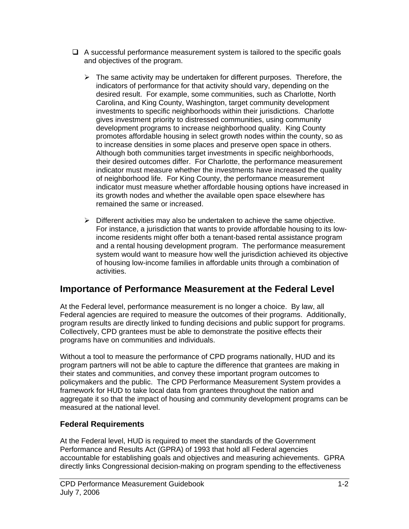- $\Box$  A successful performance measurement system is tailored to the specific goals and objectives of the program.
	- $\triangleright$  The same activity may be undertaken for different purposes. Therefore, the indicators of performance for that activity should vary, depending on the desired result. For example, some communities, such as Charlotte, North Carolina, and King County, Washington, target community development investments to specific neighborhoods within their jurisdictions. Charlotte gives investment priority to distressed communities, using community development programs to increase neighborhood quality. King County promotes affordable housing in select growth nodes within the county, so as to increase densities in some places and preserve open space in others. Although both communities target investments in specific neighborhoods, their desired outcomes differ. For Charlotte, the performance measurement indicator must measure whether the investments have increased the quality of neighborhood life. For King County, the performance measurement indicator must measure whether affordable housing options have increased in its growth nodes and whether the available open space elsewhere has remained the same or increased.
	- $\triangleright$  Different activities may also be undertaken to achieve the same objective. For instance, a jurisdiction that wants to provide affordable housing to its lowincome residents might offer both a tenant-based rental assistance program and a rental housing development program. The performance measurement system would want to measure how well the jurisdiction achieved its objective of housing low-income families in affordable units through a combination of activities.

# **Importance of Performance Measurement at the Federal Level**

At the Federal level, performance measurement is no longer a choice. By law, all Federal agencies are required to measure the outcomes of their programs. Additionally, program results are directly linked to funding decisions and public support for programs. Collectively, CPD grantees must be able to demonstrate the positive effects their programs have on communities and individuals.

Without a tool to measure the performance of CPD programs nationally, HUD and its program partners will not be able to capture the difference that grantees are making in their states and communities, and convey these important program outcomes to policymakers and the public. The CPD Performance Measurement System provides a framework for HUD to take local data from grantees throughout the nation and aggregate it so that the impact of housing and community development programs can be measured at the national level.

# **Federal Requirements**

At the Federal level, HUD is required to meet the standards of the Government Performance and Results Act (GPRA) of 1993 that hold all Federal agencies accountable for establishing goals and objectives and measuring achievements. GPRA directly links Congressional decision-making on program spending to the effectiveness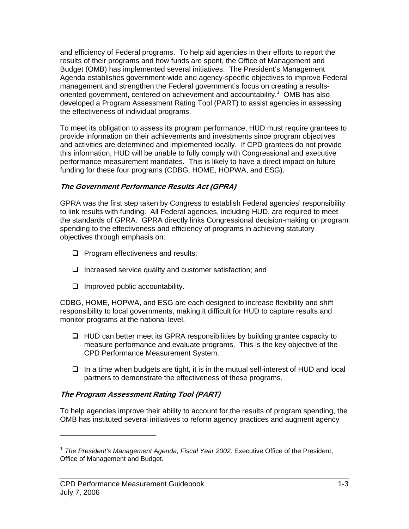and efficiency of Federal programs. To help aid agencies in their efforts to report the results of their programs and how funds are spent, the Office of Management and Budget (OMB) has implemented several initiatives. The President's Management Agenda establishes government-wide and agency-specific objectives to improve Federal management and strengthen the Federal government's focus on creating a resultsoriented government, centered on achievement and accountability.<sup>1</sup> OMB has also developed a Program Assessment Rating Tool (PART) to assist agencies in assessing the effectiveness of individual programs.

To meet its obligation to assess its program performance, HUD must require grantees to provide information on their achievements and investments since program objectives and activities are determined and implemented locally. If CPD grantees do not provide this information, HUD will be unable to fully comply with Congressional and executive performance measurement mandates. This is likely to have a direct impact on future funding for these four programs (CDBG, HOME, HOPWA, and ESG).

### **The Government Performance Results Act (GPRA)**

GPRA was the first step taken by Congress to establish Federal agencies' responsibility to link results with funding. All Federal agencies, including HUD, are required to meet the standards of GPRA. GPRA directly links Congressional decision-making on program spending to the effectiveness and efficiency of programs in achieving statutory objectives through emphasis on:

- $\Box$  Program effectiveness and results;
- $\Box$  Increased service quality and customer satisfaction; and
- $\Box$  Improved public accountability.

CDBG, HOME, HOPWA, and ESG are each designed to increase flexibility and shift responsibility to local governments, making it difficult for HUD to capture results and monitor programs at the national level.

- $\Box$  HUD can better meet its GPRA responsibilities by building grantee capacity to measure performance and evaluate programs. This is the key objective of the CPD Performance Measurement System.
- $\Box$  In a time when budgets are tight, it is in the mutual self-interest of HUD and local partners to demonstrate the effectiveness of these programs.

## **The Program Assessment Rating Tool (PART)**

To help agencies improve their ability to account for the results of program spending, the OMB has instituted several initiatives to reform agency practices and augment agency

 $\overline{a}$ 

<sup>&</sup>lt;sup>1</sup> The President's Management Agenda, Fiscal Year 2002. Executive Office of the President, Office of Management and Budget.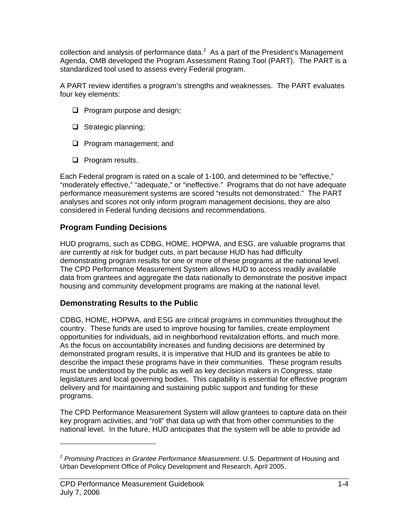collection and analysis of performance data. $^2$  As a part of the President's Management Agenda, OMB developed the Program Assessment Rating Tool (PART). The PART is a standardized tool used to assess every Federal program.

A PART review identifies a program's strengths and weaknesses. The PART evaluates four key elements:

- **Q** Program purpose and design;
- $\Box$  Strategic planning;
- **Q** Program management; and
- $\Box$  Program results.

Each Federal program is rated on a scale of 1-100, and determined to be "effective," "moderately effective," "adequate," or "ineffective." Programs that do not have adequate performance measurement systems are scored "results not demonstrated." The PART analyses and scores not only inform program management decisions, they are also considered in Federal funding decisions and recommendations.

## **Program Funding Decisions**

HUD programs, such as CDBG, HOME, HOPWA, and ESG, are valuable programs that are currently at risk for budget cuts, in part because HUD has had difficulty demonstrating program results for one or more of these programs at the national level. The CPD Performance Measurement System allows HUD to access readily available data from grantees and aggregate the data nationally to demonstrate the positive impact housing and community development programs are making at the national level.

## **Demonstrating Results to the Public**

CDBG, HOME, HOPWA, and ESG are critical programs in communities throughout the country. These funds are used to improve housing for families, create employment opportunities for individuals, aid in neighborhood revitalization efforts, and much more. As the focus on accountability increases and funding decisions are determined by demonstrated program results, it is imperative that HUD and its grantees be able to describe the impact these programs have in their communities. These program results must be understood by the public as well as key decision makers in Congress, state legislatures and local governing bodies. This capability is essential for effective program delivery and for maintaining and sustaining public support and funding for these programs.

The CPD Performance Measurement System will allow grantees to capture data on their key program activities, and "roll" that data up with that from other communities to the national level. In the future, HUD anticipates that the system will be able to provide ad

<sup>2</sup> *Promising Practices in Grantee Performance Measurement*. U.S. Department of Housing and Urban Development Office of Policy Development and Research, April 2005.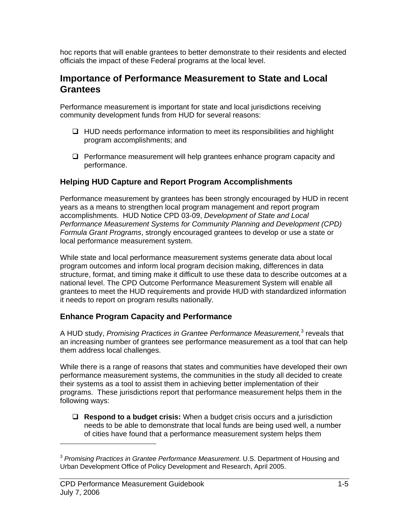hoc reports that will enable grantees to better demonstrate to their residents and elected officials the impact of these Federal programs at the local level.

# **Importance of Performance Measurement to State and Local Grantees**

Performance measurement is important for state and local jurisdictions receiving community development funds from HUD for several reasons:

- $\Box$  HUD needs performance information to meet its responsibilities and highlight program accomplishments; and
- $\Box$  Performance measurement will help grantees enhance program capacity and performance.

## **Helping HUD Capture and Report Program Accomplishments**

Performance measurement by grantees has been strongly encouraged by HUD in recent years as a means to strengthen local program management and report program accomplishments. HUD Notice CPD 03-09, *Development of State and Local Performance Measurement Systems for Community Planning and Development (CPD) Formula Grant Programs*, strongly encouraged grantees to develop or use a state or local performance measurement system.

While state and local performance measurement systems generate data about local program outcomes and inform local program decision making, differences in data structure, format, and timing make it difficult to use these data to describe outcomes at a national level. The CPD Outcome Performance Measurement System will enable all grantees to meet the HUD requirements and provide HUD with standardized information it needs to report on program results nationally.

# **Enhance Program Capacity and Performance**

A HUD study, Promising Practices in Grantee Performance Measurement,<sup>3</sup> reveals that an increasing number of grantees see performance measurement as a tool that can help them address local challenges.

While there is a range of reasons that states and communities have developed their own performance measurement systems, the communities in the study all decided to create their systems as a tool to assist them in achieving better implementation of their programs. These jurisdictions report that performance measurement helps them in the following ways:

 **Respond to a budget crisis:** When a budget crisis occurs and a jurisdiction needs to be able to demonstrate that local funds are being used well, a number of cities have found that a performance measurement system helps them

-

<sup>3</sup> *Promising Practices in Grantee Performance Measurement*. U.S. Department of Housing and Urban Development Office of Policy Development and Research, April 2005.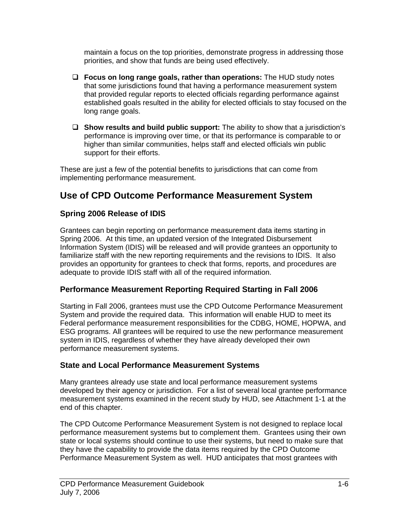maintain a focus on the top priorities, demonstrate progress in addressing those priorities, and show that funds are being used effectively.

- **Focus on long range goals, rather than operations:** The HUD study notes that some jurisdictions found that having a performance measurement system that provided regular reports to elected officials regarding performance against established goals resulted in the ability for elected officials to stay focused on the long range goals.
- **Show results and build public support:** The ability to show that a jurisdiction's performance is improving over time, or that its performance is comparable to or higher than similar communities, helps staff and elected officials win public support for their efforts.

These are just a few of the potential benefits to jurisdictions that can come from implementing performance measurement.

# **Use of CPD Outcome Performance Measurement System**

# **Spring 2006 Release of IDIS**

Grantees can begin reporting on performance measurement data items starting in Spring 2006. At this time, an updated version of the Integrated Disbursement Information System (IDIS) will be released and will provide grantees an opportunity to familiarize staff with the new reporting requirements and the revisions to IDIS. It also provides an opportunity for grantees to check that forms, reports, and procedures are adequate to provide IDIS staff with all of the required information.

# **Performance Measurement Reporting Required Starting in Fall 2006**

Starting in Fall 2006, grantees must use the CPD Outcome Performance Measurement System and provide the required data. This information will enable HUD to meet its Federal performance measurement responsibilities for the CDBG, HOME, HOPWA, and ESG programs. All grantees will be required to use the new performance measurement system in IDIS, regardless of whether they have already developed their own performance measurement systems.

# **State and Local Performance Measurement Systems**

Many grantees already use state and local performance measurement systems developed by their agency or jurisdiction. For a list of several local grantee performance measurement systems examined in the recent study by HUD, see Attachment 1-1 at the end of this chapter.

The CPD Outcome Performance Measurement System is not designed to replace local performance measurement systems but to complement them. Grantees using their own state or local systems should continue to use their systems, but need to make sure that they have the capability to provide the data items required by the CPD Outcome Performance Measurement System as well. HUD anticipates that most grantees with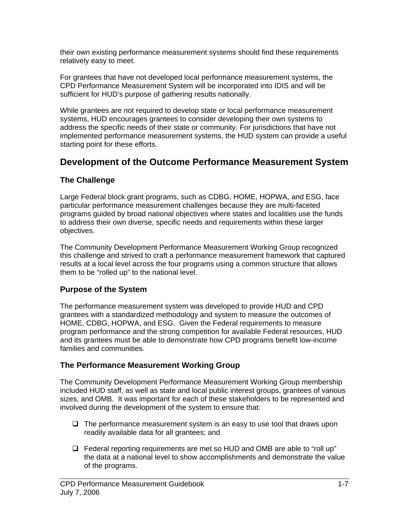their own existing performance measurement systems should find these requirements relatively easy to meet.

For grantees that have not developed local performance measurement systems, the CPD Performance Measurement System will be incorporated into IDIS and will be sufficient for HUD's purpose of gathering results nationally.

While grantees are not required to develop state or local performance measurement systems, HUD encourages grantees to consider developing their own systems to address the specific needs of their state or community. For jurisdictions that have not implemented performance measurement systems, the HUD system can provide a useful starting point for these efforts.

# **Development of the Outcome Performance Measurement System**

# **The Challenge**

Large Federal block grant programs, such as CDBG, HOME, HOPWA, and ESG, face particular performance measurement challenges because they are multi-faceted programs guided by broad national objectives where states and localities use the funds to address their own diverse, specific needs and requirements within these larger objectives.

The Community Development Performance Measurement Working Group recognized this challenge and strived to craft a performance measurement framework that captured results at a local level across the four programs using a common structure that allows them to be "rolled up" to the national level.

# **Purpose of the System**

The performance measurement system was developed to provide HUD and CPD grantees with a standardized methodology and system to measure the outcomes of HOME, CDBG, HOPWA, and ESG. Given the Federal requirements to measure program performance and the strong competition for available Federal resources, HUD and its grantees must be able to demonstrate how CPD programs benefit low-income families and communities.

# **The Performance Measurement Working Group**

The Community Development Performance Measurement Working Group membership included HUD staff, as well as state and local public interest groups, grantees of various sizes, and OMB. It was important for each of these stakeholders to be represented and involved during the development of the system to ensure that:

- $\Box$  The performance measurement system is an easy to use tool that draws upon readily available data for all grantees; and
- Federal reporting requirements are met so HUD and OMB are able to "roll up" the data at a national level to show accomplishments and demonstrate the value of the programs.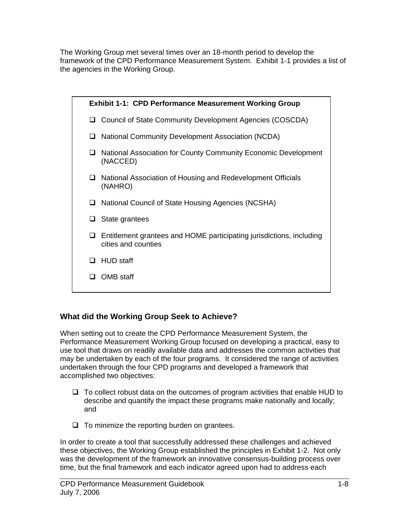The Working Group met several times over an 18-month period to develop the framework of the CPD Performance Measurement System. Exhibit 1-1 provides a list of the agencies in the Working Group.



# **What did the Working Group Seek to Achieve?**

When setting out to create the CPD Performance Measurement System, the Performance Measurement Working Group focused on developing a practical, easy to use tool that draws on readily available data and addresses the common activities that may be undertaken by each of the four programs. It considered the range of activities undertaken through the four CPD programs and developed a framework that accomplished two objectives:

- $\Box$  To collect robust data on the outcomes of program activities that enable HUD to describe and quantify the impact these programs make nationally and locally; and
- $\Box$  To minimize the reporting burden on grantees.

In order to create a tool that successfully addressed these challenges and achieved these objectives, the Working Group established the principles in Exhibit 1-2. Not only was the development of the framework an innovative consensus-building process over time, but the final framework and each indicator agreed upon had to address each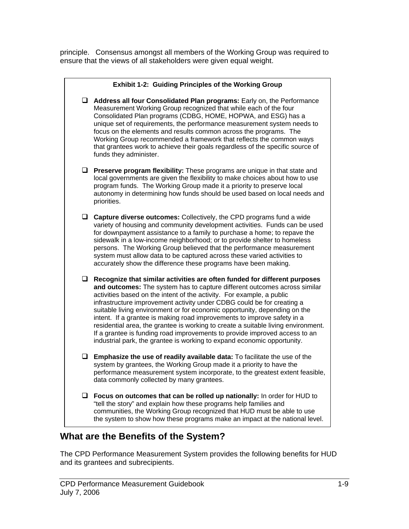principle. Consensus amongst all members of the Working Group was required to ensure that the views of all stakeholders were given equal weight.



# **What are the Benefits of the System?**

The CPD Performance Measurement System provides the following benefits for HUD and its grantees and subrecipients.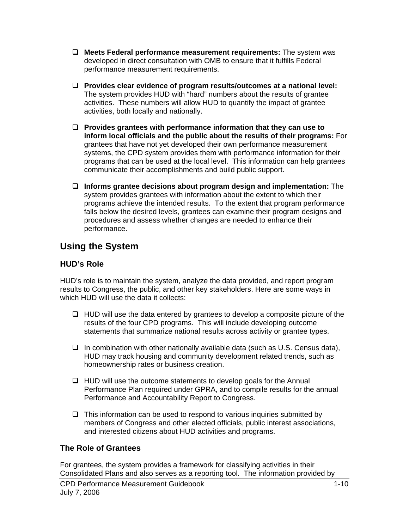- **Meets Federal performance measurement requirements:** The system was developed in direct consultation with OMB to ensure that it fulfills Federal performance measurement requirements.
- **Provides clear evidence of program results/outcomes at a national level:** The system provides HUD with "hard" numbers about the results of grantee activities. These numbers will allow HUD to quantify the impact of grantee activities, both locally and nationally.
- **Provides grantees with performance information that they can use to inform local officials and the public about the results of their programs:** For grantees that have not yet developed their own performance measurement systems, the CPD system provides them with performance information for their programs that can be used at the local level. This information can help grantees communicate their accomplishments and build public support.
- **Informs grantee decisions about program design and implementation:** The system provides grantees with information about the extent to which their programs achieve the intended results. To the extent that program performance falls below the desired levels, grantees can examine their program designs and procedures and assess whether changes are needed to enhance their performance.

# **Using the System**

# **HUD's Role**

HUD's role is to maintain the system, analyze the data provided, and report program results to Congress, the public, and other key stakeholders. Here are some ways in which HUD will use the data it collects:

- $\Box$  HUD will use the data entered by grantees to develop a composite picture of the results of the four CPD programs. This will include developing outcome statements that summarize national results across activity or grantee types.
- $\Box$  In combination with other nationally available data (such as U.S. Census data), HUD may track housing and community development related trends, such as homeownership rates or business creation.
- $\Box$  HUD will use the outcome statements to develop goals for the Annual Performance Plan required under GPRA, and to compile results for the annual Performance and Accountability Report to Congress.
- $\Box$  This information can be used to respond to various inquiries submitted by members of Congress and other elected officials, public interest associations, and interested citizens about HUD activities and programs.

# **The Role of Grantees**

For grantees, the system provides a framework for classifying activities in their Consolidated Plans and also serves as a reporting tool. The information provided by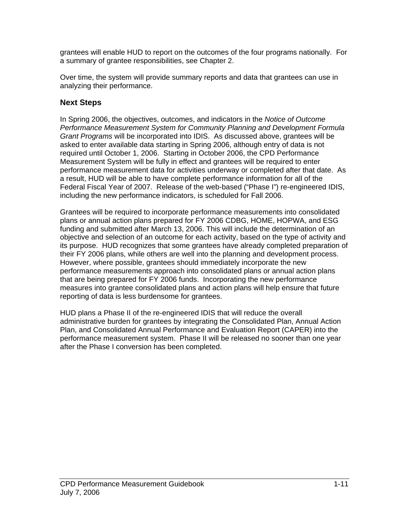grantees will enable HUD to report on the outcomes of the four programs nationally. For a summary of grantee responsibilities, see Chapter 2.

Over time, the system will provide summary reports and data that grantees can use in analyzing their performance.

## **Next Steps**

In Spring 2006, the objectives, outcomes, and indicators in the *Notice of Outcome Performance Measurement System for Community Planning and Development Formula Grant Programs* will be incorporated into IDIS. As discussed above, grantees will be asked to enter available data starting in Spring 2006, although entry of data is not required until October 1, 2006. Starting in October 2006, the CPD Performance Measurement System will be fully in effect and grantees will be required to enter performance measurement data for activities underway or completed after that date. As a result, HUD will be able to have complete performance information for all of the Federal Fiscal Year of 2007. Release of the web-based ("Phase I") re-engineered IDIS, including the new performance indicators, is scheduled for Fall 2006.

Grantees will be required to incorporate performance measurements into consolidated plans or annual action plans prepared for FY 2006 CDBG, HOME, HOPWA, and ESG funding and submitted after March 13, 2006. This will include the determination of an objective and selection of an outcome for each activity, based on the type of activity and its purpose. HUD recognizes that some grantees have already completed preparation of their FY 2006 plans, while others are well into the planning and development process. However, where possible, grantees should immediately incorporate the new performance measurements approach into consolidated plans or annual action plans that are being prepared for FY 2006 funds. Incorporating the new performance measures into grantee consolidated plans and action plans will help ensure that future reporting of data is less burdensome for grantees.

HUD plans a Phase II of the re-engineered IDIS that will reduce the overall administrative burden for grantees by integrating the Consolidated Plan, Annual Action Plan, and Consolidated Annual Performance and Evaluation Report (CAPER) into the performance measurement system. Phase II will be released no sooner than one year after the Phase I conversion has been completed.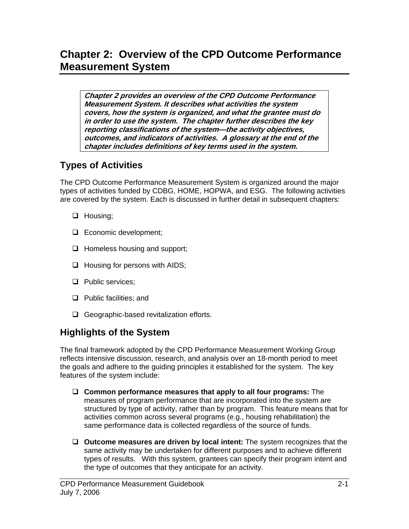**Chapter 2 provides an overview of the CPD Outcome Performance Measurement System. It describes what activities the system covers, how the system is organized, and what the grantee must do in order to use the system. The chapter further describes the key reporting classifications of the system—the activity objectives, outcomes, and indicators of activities. A glossary at the end of the chapter includes definitions of key terms used in the system.** 

# **Types of Activities**

The CPD Outcome Performance Measurement System is organized around the major types of activities funded by CDBG, HOME, HOPWA, and ESG. The following activities are covered by the system. Each is discussed in further detail in subsequent chapters:

- $\Box$  Housing;
- **Exercise** Economic development;
- $\Box$  Homeless housing and support;
- $\Box$  Housing for persons with AIDS;
- $\Box$  Public services;
- $\Box$  Public facilities; and
- Geographic-based revitalization efforts.

# **Highlights of the System**

The final framework adopted by the CPD Performance Measurement Working Group reflects intensive discussion, research, and analysis over an 18-month period to meet the goals and adhere to the guiding principles it established for the system. The key features of the system include:

- **Common performance measures that apply to all four programs:** The measures of program performance that are incorporated into the system are structured by type of activity, rather than by program. This feature means that for activities common across several programs (e.g., housing rehabilitation) the same performance data is collected regardless of the source of funds.
- **Outcome measures are driven by local intent:** The system recognizes that the same activity may be undertaken for different purposes and to achieve different types of results. With this system, grantees can specify their program intent and the type of outcomes that they anticipate for an activity.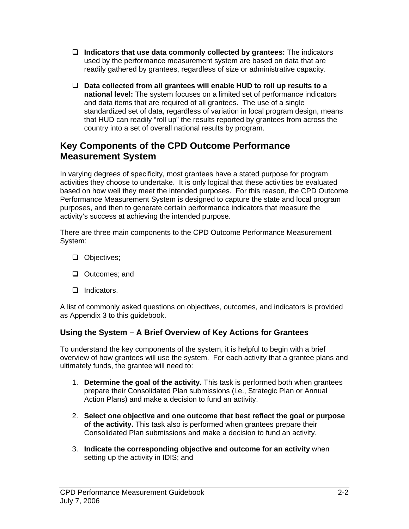- **Indicators that use data commonly collected by grantees:** The indicators used by the performance measurement system are based on data that are readily gathered by grantees, regardless of size or administrative capacity.
- **Data collected from all grantees will enable HUD to roll up results to a national level:** The system focuses on a limited set of performance indicators and data items that are required of all grantees. The use of a single standardized set of data, regardless of variation in local program design, means that HUD can readily "roll up" the results reported by grantees from across the country into a set of overall national results by program.

# **Key Components of the CPD Outcome Performance Measurement System**

In varying degrees of specificity, most grantees have a stated purpose for program activities they choose to undertake. It is only logical that these activities be evaluated based on how well they meet the intended purposes. For this reason, the CPD Outcome Performance Measurement System is designed to capture the state and local program purposes, and then to generate certain performance indicators that measure the activity's success at achieving the intended purpose.

There are three main components to the CPD Outcome Performance Measurement System:

- Objectives;
- □ Outcomes; and
- Indicators.

A list of commonly asked questions on objectives, outcomes, and indicators is provided as Appendix 3 to this guidebook.

# **Using the System – A Brief Overview of Key Actions for Grantees**

To understand the key components of the system, it is helpful to begin with a brief overview of how grantees will use the system. For each activity that a grantee plans and ultimately funds, the grantee will need to:

- 1. **Determine the goal of the activity.** This task is performed both when grantees prepare their Consolidated Plan submissions (i.e., Strategic Plan or Annual Action Plans) and make a decision to fund an activity.
- 2. **Select one objective and one outcome that best reflect the goal or purpose of the activity.** This task also is performed when grantees prepare their Consolidated Plan submissions and make a decision to fund an activity.
- 3. **Indicate the corresponding objective and outcome for an activity** when setting up the activity in IDIS; and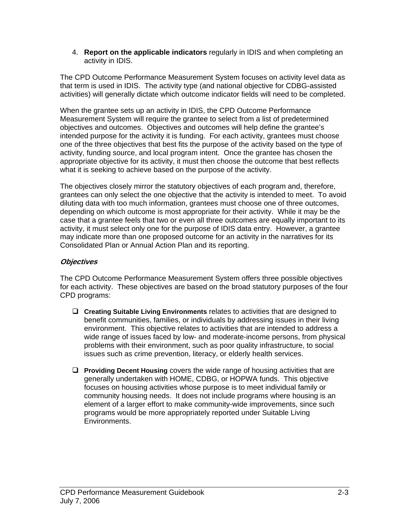4. **Report on the applicable indicators** regularly in IDIS and when completing an activity in IDIS.

The CPD Outcome Performance Measurement System focuses on activity level data as that term is used in IDIS. The activity type (and national objective for CDBG-assisted activities) will generally dictate which outcome indicator fields will need to be completed.

When the grantee sets up an activity in IDIS, the CPD Outcome Performance Measurement System will require the grantee to select from a list of predetermined objectives and outcomes. Objectives and outcomes will help define the grantee's intended purpose for the activity it is funding. For each activity, grantees must choose one of the three objectives that best fits the purpose of the activity based on the type of activity, funding source, and local program intent. Once the grantee has chosen the appropriate objective for its activity, it must then choose the outcome that best reflects what it is seeking to achieve based on the purpose of the activity.

The objectives closely mirror the statutory objectives of each program and, therefore, grantees can only select the one objective that the activity is intended to meet. To avoid diluting data with too much information, grantees must choose one of three outcomes, depending on which outcome is most appropriate for their activity. While it may be the case that a grantee feels that two or even all three outcomes are equally important to its activity, it must select only one for the purpose of IDIS data entry. However, a grantee may indicate more than one proposed outcome for an activity in the narratives for its Consolidated Plan or Annual Action Plan and its reporting.

## **Objectives**

The CPD Outcome Performance Measurement System offers three possible objectives for each activity. These objectives are based on the broad statutory purposes of the four CPD programs:

- **Creating Suitable Living Environments** relates to activities that are designed to benefit communities, families, or individuals by addressing issues in their living environment. This objective relates to activities that are intended to address a wide range of issues faced by low- and moderate-income persons, from physical problems with their environment, such as poor quality infrastructure, to social issues such as crime prevention, literacy, or elderly health services.
- **Providing Decent Housing** covers the wide range of housing activities that are generally undertaken with HOME, CDBG, or HOPWA funds. This objective focuses on housing activities whose purpose is to meet individual family or community housing needs. It does not include programs where housing is an element of a larger effort to make community-wide improvements, since such programs would be more appropriately reported under Suitable Living Environments.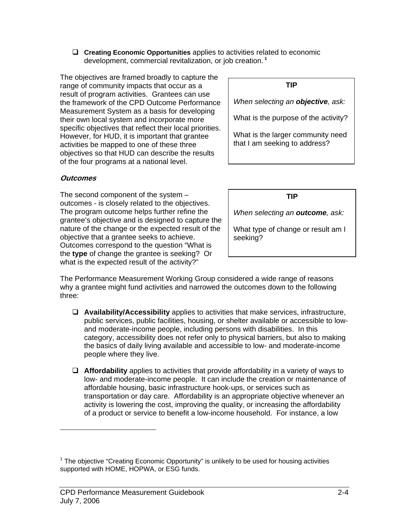**Creating Economic Opportunities** applies to activities related to economic development, commercial revitalization, or job creation.**<sup>1</sup>**

The objectives are framed broadly to capture the range of community impacts that occur as a result of program activities. Grantees can use the framework of the CPD Outcome Performance Measurement System as a basis for developing their own local system and incorporate more specific objectives that reflect their local priorities. However, for HUD, it is important that grantee activities be mapped to one of these three objectives so that HUD can describe the results of the four programs at a national level.

### **Outcomes**

 $\overline{a}$ 

The second component of the system – outcomes - is closely related to the objectives. The program outcome helps further refine the grantee's objective and is designed to capture the nature of the change or the expected result of the objective that a grantee seeks to achieve. Outcomes correspond to the question "What is the **type** of change the grantee is seeking? Or what is the expected result of the activity?"

#### **TIP**

*When selecting an objective, ask:* 

What is the purpose of the activity?

What is the larger community need that I am seeking to address?

**TIP** 

*When selecting an outcome, ask:* 

What type of change or result am I seeking?

The Performance Measurement Working Group considered a wide range of reasons why a grantee might fund activities and narrowed the outcomes down to the following three:

- **Availability/Accessibility** applies to activities that make services, infrastructure, public services, public facilities, housing, or shelter available or accessible to lowand moderate-income people, including persons with disabilities. In this category, accessibility does not refer only to physical barriers, but also to making the basics of daily living available and accessible to low- and moderate-income people where they live.
- **Affordability** applies to activities that provide affordability in a variety of ways to low- and moderate-income people. It can include the creation or maintenance of affordable housing, basic infrastructure hook-ups, or services such as transportation or day care. Affordability is an appropriate objective whenever an activity is lowering the cost, improving the quality, or increasing the affordability of a product or service to benefit a low-income household. For instance, a low

<sup>&</sup>lt;sup>1</sup> The objective "Creating Economic Opportunity" is unlikely to be used for housing activities supported with HOME, HOPWA, or ESG funds.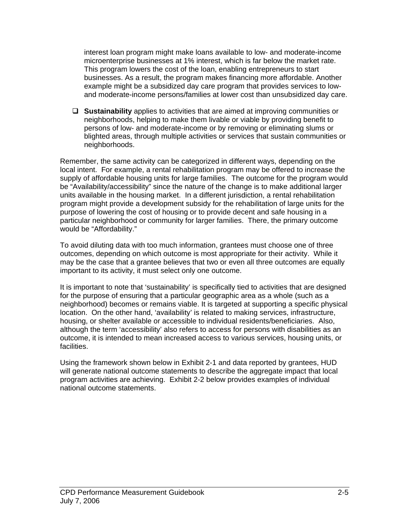interest loan program might make loans available to low- and moderate-income microenterprise businesses at 1% interest, which is far below the market rate. This program lowers the cost of the loan, enabling entrepreneurs to start businesses. As a result, the program makes financing more affordable. Another example might be a subsidized day care program that provides services to lowand moderate-income persons/families at lower cost than unsubsidized day care.

 **Sustainability** applies to activities that are aimed at improving communities or neighborhoods, helping to make them livable or viable by providing benefit to persons of low- and moderate-income or by removing or eliminating slums or blighted areas, through multiple activities or services that sustain communities or neighborhoods.

Remember, the same activity can be categorized in different ways, depending on the local intent. For example, a rental rehabilitation program may be offered to increase the supply of affordable housing units for large families. The outcome for the program would be "Availability/accessibility" since the nature of the change is to make additional larger units available in the housing market. In a different jurisdiction, a rental rehabilitation program might provide a development subsidy for the rehabilitation of large units for the purpose of lowering the cost of housing or to provide decent and safe housing in a particular neighborhood or community for larger families. There, the primary outcome would be "Affordability."

To avoid diluting data with too much information, grantees must choose one of three outcomes, depending on which outcome is most appropriate for their activity. While it may be the case that a grantee believes that two or even all three outcomes are equally important to its activity, it must select only one outcome.

It is important to note that 'sustainability' is specifically tied to activities that are designed for the purpose of ensuring that a particular geographic area as a whole (such as a neighborhood) becomes or remains viable. It is targeted at supporting a specific physical location. On the other hand, 'availability' is related to making services, infrastructure, housing, or shelter available or accessible to individual residents/beneficiaries. Also, although the term 'accessibility' also refers to access for persons with disabilities as an outcome, it is intended to mean increased access to various services, housing units, or facilities.

Using the framework shown below in Exhibit 2-1 and data reported by grantees, HUD will generate national outcome statements to describe the aggregate impact that local program activities are achieving. Exhibit 2-2 below provides examples of individual national outcome statements.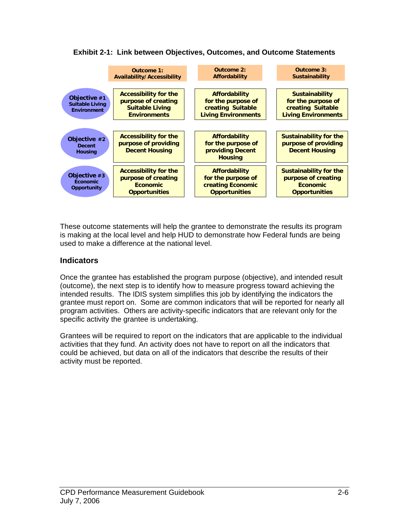#### **Exhibit 2-1: Link between Objectives, Outcomes, and Outcome Statements**



These outcome statements will help the grantee to demonstrate the results its program is making at the local level and help HUD to demonstrate how Federal funds are being used to make a difference at the national level.

### **Indicators**

Once the grantee has established the program purpose (objective), and intended result (outcome), the next step is to identify how to measure progress toward achieving the intended results. The IDIS system simplifies this job by identifying the indicators the grantee must report on. Some are common indicators that will be reported for nearly all program activities. Others are activity-specific indicators that are relevant only for the specific activity the grantee is undertaking.

Grantees will be required to report on the indicators that are applicable to the individual activities that they fund. An activity does not have to report on all the indicators that could be achieved, but data on all of the indicators that describe the results of their activity must be reported.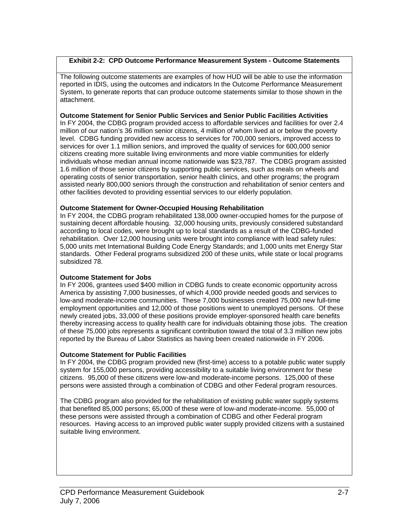#### **Exhibit 2-2: CPD Outcome Performance Measurement System - Outcome Statements**

The following outcome statements are examples of how HUD will be able to use the information reported in IDIS, using the outcomes and indicators In the Outcome Performance Measurement System, to generate reports that can produce outcome statements similar to those shown in the attachment.

#### **Outcome Statement for Senior Public Services and Senior Public Facilities Activities**

In FY 2004, the CDBG program provided access to affordable services and facilities for over 2.4 million of our nation's 36 million senior citizens, 4 million of whom lived at or below the poverty level. CDBG funding provided new access to services for 700,000 seniors, improved access to services for over 1.1 million seniors, and improved the quality of services for 600,000 senior citizens creating more suitable living environments and more viable communities for elderly individuals whose median annual income nationwide was \$23,787. The CDBG program assisted 1.6 million of those senior citizens by supporting public services, such as meals on wheels and operating costs of senior transportation, senior health clinics, and other programs; the program assisted nearly 800,000 seniors through the construction and rehabilitation of senior centers and other facilities devoted to providing essential services to our elderly population.

#### **Outcome Statement for Owner-Occupied Housing Rehabilitation**

In FY 2004, the CDBG program rehabilitated 138,000 owner-occupied homes for the purpose of sustaining decent affordable housing. 32,000 housing units, previously considered substandard according to local codes, were brought up to local standards as a result of the CDBG-funded rehabilitation. Over 12,000 housing units were brought into compliance with lead safety rules: 5,000 units met International Building Code Energy Standards; and 1,000 units met Energy Star standards. Other Federal programs subsidized 200 of these units, while state or local programs subsidized 78.

#### **Outcome Statement for Jobs**

In FY 2006, grantees used \$400 million in CDBG funds to create economic opportunity across America by assisting 7,000 businesses, of which 4,000 provide needed goods and services to low-and moderate-income communities. These 7,000 businesses created 75,000 new full-time employment opportunities and 12,000 of those positions went to unemployed persons. Of these newly created jobs, 33,000 of these positions provide employer-sponsored health care benefits thereby increasing access to quality health care for individuals obtaining those jobs. The creation of these 75,000 jobs represents a significant contribution toward the total of 3.3 million new jobs reported by the Bureau of Labor Statistics as having been created nationwide in FY 2006.

#### **Outcome Statement for Public Facilities**

In FY 2004, the CDBG program provided new (first-time) access to a potable public water supply system for 155,000 persons, providing accessibility to a suitable living environment for these citizens. 95,000 of these citizens were low-and moderate-income persons. 125,000 of these persons were assisted through a combination of CDBG and other Federal program resources.

The CDBG program also provided for the rehabilitation of existing public water supply systems that benefited 85,000 persons; 65,000 of these were of low-and moderate-income. 55,000 of these persons were assisted through a combination of CDBG and other Federal program resources. Having access to an improved public water supply provided citizens with a sustained suitable living environment.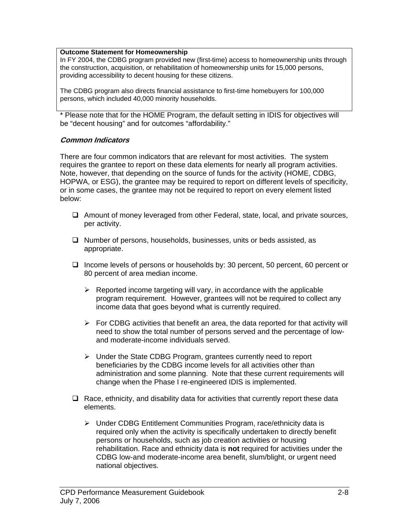#### **Outcome Statement for Homeownership**

In FY 2004, the CDBG program provided new (first-time) access to homeownership units through the construction, acquisition, or rehabilitation of homeownership units for 15,000 persons, providing accessibility to decent housing for these citizens.

The CDBG program also directs financial assistance to first-time homebuyers for 100,000 persons, which included 40,000 minority households.

\* Please note that for the HOME Program, the default setting in IDIS for objectives will be "decent housing" and for outcomes "affordability."

#### **Common Indicators**

There are four common indicators that are relevant for most activities. The system requires the grantee to report on these data elements for nearly all program activities. Note, however, that depending on the source of funds for the activity (HOME, CDBG, HOPWA, or ESG), the grantee may be required to report on different levels of specificity, or in some cases, the grantee may not be required to report on every element listed below:

- $\Box$  Amount of money leveraged from other Federal, state, local, and private sources, per activity.
- $\Box$  Number of persons, households, businesses, units or beds assisted, as appropriate.
- Income levels of persons or households by: 30 percent, 50 percent, 60 percent or 80 percent of area median income.
	- $\triangleright$  Reported income targeting will vary, in accordance with the applicable program requirement. However, grantees will not be required to collect any income data that goes beyond what is currently required.
	- $\triangleright$  For CDBG activities that benefit an area, the data reported for that activity will need to show the total number of persons served and the percentage of lowand moderate-income individuals served.
	- ¾ Under the State CDBG Program, grantees currently need to report beneficiaries by the CDBG income levels for all activities other than administration and some planning. Note that these current requirements will change when the Phase I re-engineered IDIS is implemented.
- $\Box$  Race, ethnicity, and disability data for activities that currently report these data elements.
	- ¾ Under CDBG Entitlement Communities Program, race/ethnicity data is required only when the activity is specifically undertaken to directly benefit persons or households, such as job creation activities or housing rehabilitation. Race and ethnicity data is **not** required for activities under the CDBG low-and moderate-income area benefit, slum/blight, or urgent need national objectives.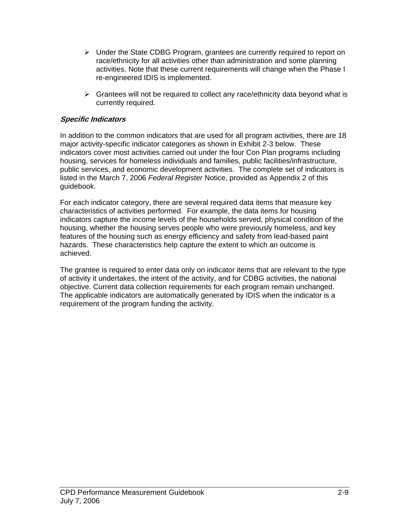- $\triangleright$  Under the State CDBG Program, grantees are currently required to report on race/ethnicity for all activities other than administration and some planning activities. Note that these current requirements will change when the Phase I re-engineered IDIS is implemented.
- $\triangleright$  Grantees will not be required to collect any race/ethnicity data beyond what is currently required.

### **Specific Indicators**

In addition to the common indicators that are used for all program activities, there are 18 major activity-specific indicator categories as shown in Exhibit 2-3 below. These indicators cover most activities carried out under the four Con Plan programs including housing, services for homeless individuals and families, public facilities/infrastructure, public services, and economic development activities. The complete set of indicators is listed in the March 7, 2006 *Federal Register* Notice, provided as Appendix 2 of this guidebook.

For each indicator category, there are several required data items that measure key characteristics of activities performed. For example, the data items for housing indicators capture the income levels of the households served, physical condition of the housing, whether the housing serves people who were previously homeless, and key features of the housing such as energy efficiency and safety from lead-based paint hazards. These characteristics help capture the extent to which an outcome is achieved.

The grantee is required to enter data only on indicator items that are relevant to the type of activity it undertakes, the intent of the activity, and for CDBG activities, the national objective. Current data collection requirements for each program remain unchanged. The applicable indicators are automatically generated by IDIS when the indicator is a requirement of the program funding the activity.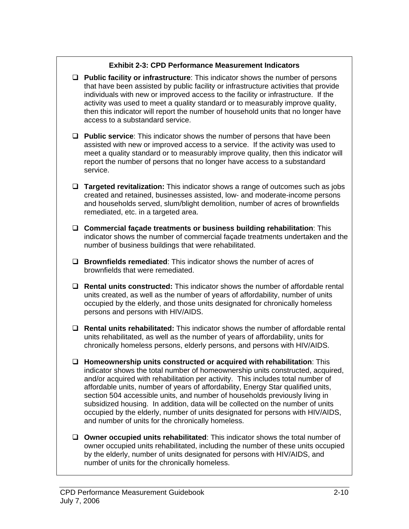### **Exhibit 2-3: CPD Performance Measurement Indicators**

- **Public facility or infrastructure**: This indicator shows the number of persons that have been assisted by public facility or infrastructure activities that provide individuals with new or improved access to the facility or infrastructure. If the activity was used to meet a quality standard or to measurably improve quality, then this indicator will report the number of household units that no longer have access to a substandard service.
- **Public service**: This indicator shows the number of persons that have been assisted with new or improved access to a service. If the activity was used to meet a quality standard or to measurably improve quality, then this indicator will report the number of persons that no longer have access to a substandard service.
- **Targeted revitalization:** This indicator shows a range of outcomes such as jobs created and retained, businesses assisted, low- and moderate-income persons and households served, slum/blight demolition, number of acres of brownfields remediated, etc. in a targeted area.
- **Commercial façade treatments or business building rehabilitation**: This indicator shows the number of commercial façade treatments undertaken and the number of business buildings that were rehabilitated.
- **Brownfields remediated**: This indicator shows the number of acres of brownfields that were remediated.
- **Rental units constructed:** This indicator shows the number of affordable rental units created, as well as the number of years of affordability, number of units occupied by the elderly, and those units designated for chronically homeless persons and persons with HIV/AIDS.
- **Rental units rehabilitated:** This indicator shows the number of affordable rental units rehabilitated, as well as the number of years of affordability, units for chronically homeless persons, elderly persons, and persons with HIV/AIDS.
- **Homeownership units constructed or acquired with rehabilitation**: This indicator shows the total number of homeownership units constructed, acquired, and/or acquired with rehabilitation per activity. This includes total number of affordable units, number of years of affordability, Energy Star qualified units, section 504 accessible units, and number of households previously living in subsidized housing. In addition, data will be collected on the number of units occupied by the elderly, number of units designated for persons with HIV/AIDS, and number of units for the chronically homeless.
- **Owner occupied units rehabilitated**: This indicator shows the total number of owner occupied units rehabilitated, including the number of these units occupied by the elderly, number of units designated for persons with HIV/AIDS, and number of units for the chronically homeless.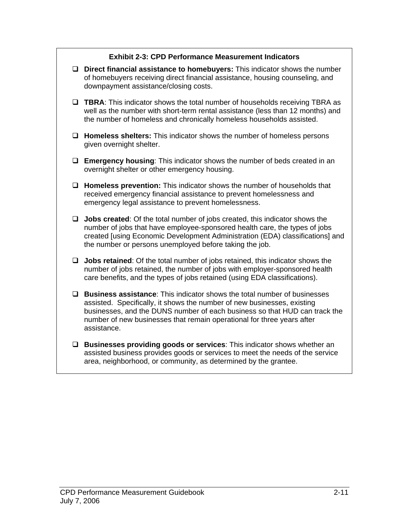## **Exhibit 2-3: CPD Performance Measurement Indicators**

- **Direct financial assistance to homebuyers:** This indicator shows the number of homebuyers receiving direct financial assistance, housing counseling, and downpayment assistance/closing costs.
- **TBRA:** This indicator shows the total number of households receiving TBRA as well as the number with short-term rental assistance (less than 12 months) and the number of homeless and chronically homeless households assisted.
- **Homeless shelters:** This indicator shows the number of homeless persons given overnight shelter.
- **Emergency housing**: This indicator shows the number of beds created in an overnight shelter or other emergency housing.
- **Homeless prevention:** This indicator shows the number of households that received emergency financial assistance to prevent homelessness and emergency legal assistance to prevent homelessness.
- **Jobs created**: Of the total number of jobs created, this indicator shows the number of jobs that have employee-sponsored health care, the types of jobs created [using Economic Development Administration (EDA) classifications] and the number or persons unemployed before taking the job.
- **Jobs retained**: Of the total number of jobs retained, this indicator shows the number of jobs retained, the number of jobs with employer-sponsored health care benefits, and the types of jobs retained (using EDA classifications).
- **Business assistance**: This indicator shows the total number of businesses assisted. Specifically, it shows the number of new businesses, existing businesses, and the DUNS number of each business so that HUD can track the number of new businesses that remain operational for three years after assistance.
- **Businesses providing goods or services**: This indicator shows whether an assisted business provides goods or services to meet the needs of the service area, neighborhood, or community, as determined by the grantee.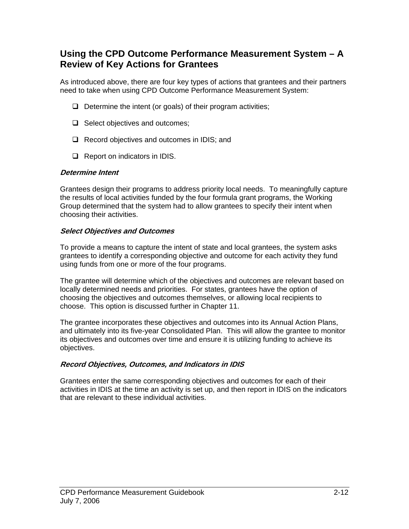# **Using the CPD Outcome Performance Measurement System – A Review of Key Actions for Grantees**

As introduced above, there are four key types of actions that grantees and their partners need to take when using CPD Outcome Performance Measurement System:

- $\Box$  Determine the intent (or goals) of their program activities;
- $\Box$  Select objectives and outcomes;
- $\Box$  Record objectives and outcomes in IDIS; and
- $\Box$  Report on indicators in IDIS.

### **Determine Intent**

Grantees design their programs to address priority local needs. To meaningfully capture the results of local activities funded by the four formula grant programs, the Working Group determined that the system had to allow grantees to specify their intent when choosing their activities.

### **Select Objectives and Outcomes**

To provide a means to capture the intent of state and local grantees, the system asks grantees to identify a corresponding objective and outcome for each activity they fund using funds from one or more of the four programs.

The grantee will determine which of the objectives and outcomes are relevant based on locally determined needs and priorities. For states, grantees have the option of choosing the objectives and outcomes themselves, or allowing local recipients to choose. This option is discussed further in Chapter 11.

The grantee incorporates these objectives and outcomes into its Annual Action Plans, and ultimately into its five-year Consolidated Plan. This will allow the grantee to monitor its objectives and outcomes over time and ensure it is utilizing funding to achieve its objectives.

### **Record Objectives, Outcomes, and Indicators in IDIS**

Grantees enter the same corresponding objectives and outcomes for each of their activities in IDIS at the time an activity is set up, and then report in IDIS on the indicators that are relevant to these individual activities.